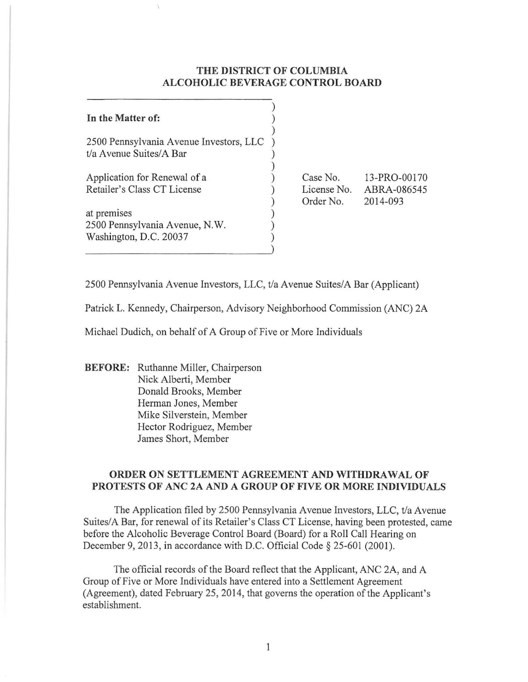## **THE DISTRICT OF COLUMBIA ALCOHOLIC BEVERAGE CONTROL BOARD**

**In the Matter of:**  ) ) ) 2500 Pennsylvania Avenue Investors, **LLC** ) t/a Avenue Suites/A Bar Application for Renewal of a Retailer's Class **CT** License at premises 2500 Pennsylvania Avenue, N.W. Washington, D.C. 20037 ) ) ) ) ) ) ) ) Case No. License No. ABRA-086545 Order No. 13-PRO-00170 2014-093

2500 Pennsylvania Avenue Investors, LLC, t/a Avenue Suites/A Bar (Applicant)

Patrick L. Kennedy, Chairperson, Advisory Neighborhood Commission (ANC) 2A

Michael Dudich, on behalf of A Group of Five or More Individuals

**BEFORE:** Ruthanne Miller, Chairperson Nick Alberti, Member Donald Brooks, Member Herman Jones, Member Mike Silverstein, Member Hector Rodriguez, Member James Short, Member

## **ORDER ON SETTLEMENT AGREEMENT AND WITHDRAWAL OF PROTESTS OF ANC 2A AND A GROUP OF FIVE OR MORE INDIVIDUALS**

The Application filed by 2500 Pennsylvania Avenue Investors, LLC, t/a Avenue Suites/A Bar, for renewal of its Retailer's Class CT License, having been protested, came before the Alcoholic Beverage Control Board (Board) for a Roll Call Hearing on December 9, 2013, in accordance with D.C. Official Code § 25-601 (2001).

The official records of the Board reflect that the Applicant, ANC 2A, and A Group of Five or More Individuals have entered into a Settlement Agreement (Agreement), dated February 25,2014, that governs the operation of the Applicant's establishment.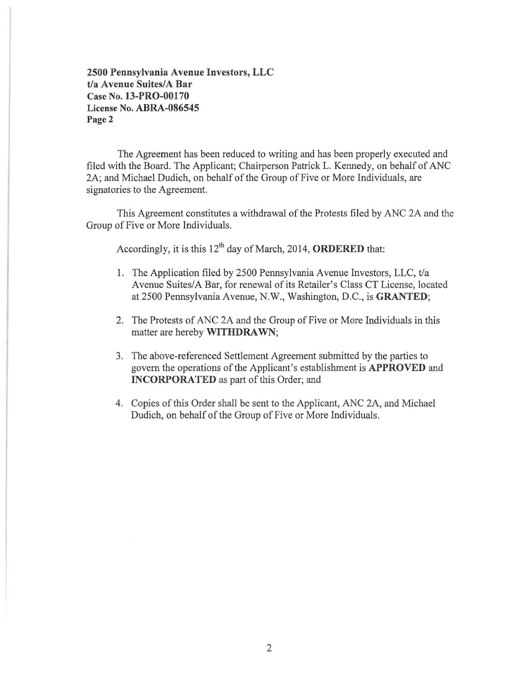2500 Pennsylvania Avenue Investors, LLC t/a Avenue Suites/A Bar Case No. 13-PRO-00170 License No. ABRA-086545 Page 2

The Agreement has been reduced to writing and has been properly executed and filed with the Board. The Applicant; Chairperson Patrick L. Kennedy, on behalf of ANC 2A; and Michael Dudich, on behalf of the Group of Five or More Individuals, are signatories to the Agreement.

This Agreement constitutes a withdrawal of the Protests filed by ANC 2A and the Group of Five or More Individuals.

Accordingly, it is this  $12<sup>th</sup>$  day of March, 2014, ORDERED that:

- 1. The Application filed by 2500 Pennsylvania Avenue Investors, LLC, t/a Avenue Suites/A Bar, for renewal of its Retailer's Class CT License, located at 2500 Pennsylvania Avenue, N.W., Washington, D.C., is GRANTED;
- 2. The Protests of ANC 2A and the Group of Five or More Individuals in this matter are hereby WITHDRAWN;
- 3. The above-referenced Settlement Agreement submitted by the parties to govern the operations of the Applicant's establishment is APPROVED and INCORPORATED as part of this Order; and
- 4. Copies of this Order shall be sent to the Applicant, ANC 2A, and Michael Dudich, on behalf of the Group of Five or More Individuals.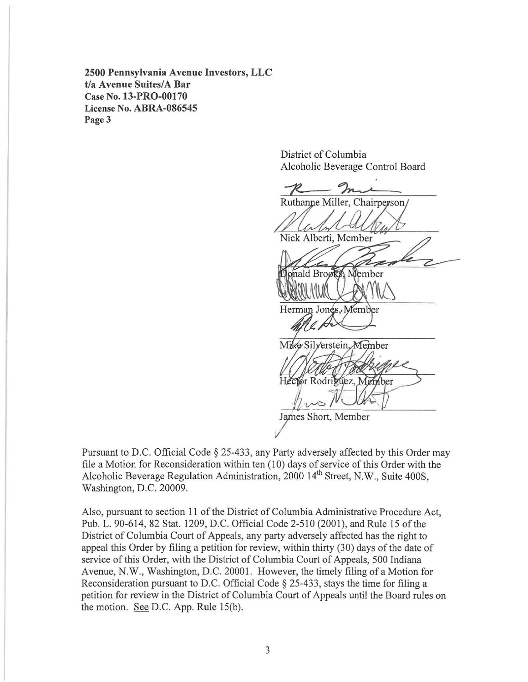**2500 Pennsylvania Avenue Investors, LLC**  *tla* **Avenue Suites/A Bar**  Case No. **13-PRO-00170**  License No. **ABRA-086545**  Page 3

> District of Columbia Alcoholic Beverage Control Board

District of Columbia<br>Alcoholic Beverage Control Board<br> $\frac{R}{R}$ <br>Ruthanne Miller, Chairperson<br>Nick Alberti, Member<br>Nick Alberti, Member onald Brooks Member Herman Jones, Member Mike Silyerstein Member Hector Rodriguez, Member James Short, Member

Pursuant to D.C. Official Code § 25-433, any Party adversely affected by this Order may file a Motion for Reconsideration within ten (10) days of service of this Order with the Alcoholic Beverage Regulation Administration, 2000 14<sup>th</sup> Street, N.W., Suite 400S, Washington, D.C. 20009.

Also, pursuant to section 11 of the District of Columbia Administrative Procedure Act, Pub. L. 90-614, 82 Stat. 1209, D.C. Official Code 2-510 (2001), and Rule 15 of the District of Columbia Court of Appeals, any party adversely affected has the right to appeal this Order by filing a petition for review, within thirty (30) days of the date of service of this Order, with the District of Columbia Court of Appeals, 500 Indiana Avenue, N.W., Washington, D.C. 20001. However, the timely filing ofa Motion for Reconsideration pursuant to D.C. Official Code § 25-433, stays the time for filing a petition for review in the District of Columbia Court of Appeals until the Board rules on the motion. See D.C. App. Rule IS(b).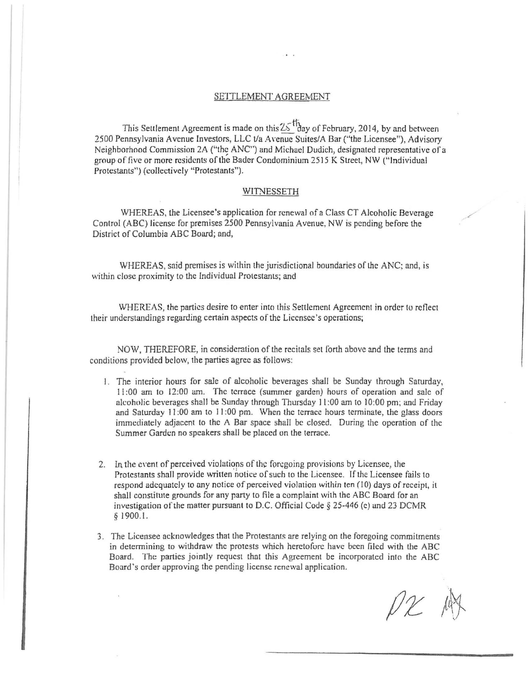## SETTLEMENT AGREEMENT

This Settlement Agreement is made on this  $25$   $\frac{11}{10}$  ay of February, 2014, by and between 2500 Pennsylvania Avenue Investors, LLC t/a Avenue Suites/A Bar ("the Licensee"), Advisory Neighborhood Commission 2A ("the ANC") and Michael Dudich, designated representative of a group of five or more residents of the Bader Condominium 2515 K Street, NW ("Individual Protestants") (collectively "Protestants").

## WITNESSETH

WHEREAS, the Licensee's application for renewal of a Class CT Alcoholic Beverage Control (ABC) license for premises 2500 Pennsylvania Avenue, NW is pending before the District of Columbia ABC Board; and.

WHEREAS, said premises is within the jurisdictional boundaries of the ANC; and, is within close proximity to the Individual Protestants; and

WHEREAS, the parties desire to enter into this Settlement Agreement in order to reflect their understandings regarding certain aspects of the Liccnsee's operations;

NOW. THEREFORE, in consideration of the recitals set forth above and the terms and conditions provided below. the parties agree as follows:

- I. The interior hours for sale of alcoholic beverages shall be Sunday through Saturday, II :00 am to 12:00 am. The terrace (summer garden) hours of operation and sale of alcoholic beverages shall be Sunday through Thursday II :00 am to 10:00 pm; and Friday and Saturday 11:00 am to 11:00 pm. When the terrace hours terminate, the glass doors immediately adjacent to the A Bar space shall be closed. During the operation of the Summer Garden no speakers shall be placed on the terrace.
- 2. In the event of perceived violations of the foregoing provisions by Licensee, the Protestants shall provide written notice of such to the Licensee. If the Licensee fails to respond adequately to any notice of perceived violation within ten (10) days of receipt, it shall constitute grounds for any party to file a complaint with the ABC Board for an investigation of the matter pursuant to D.C. Official Code § 25-446 (c) and 23 DCMR § 1900.1.
- 3. The Licensee acknowledges that the Protestants are relying on the foregoing commitments in determining to withdraw the protests which heretofore have been filed with the ABC Board. The parties jointly request that this Agreement be incorporated into the ABC Board 's order approving the pending license renewal application.

 $\rho_{\mathcal{X}}$   $\mu$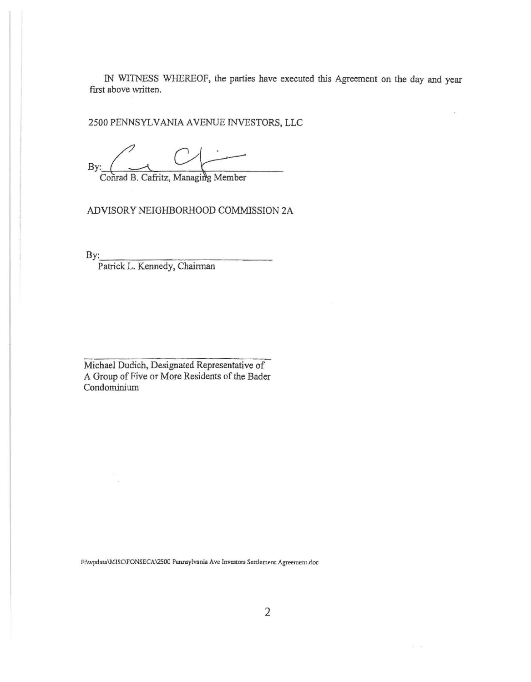IN WITNESS WHEREOF, the parties have executed this Agreement on the day and year first above written.

2500 PENNSYLVANIA AVENUE INVESTORS, LLC

By:  $\left( \begin{array}{ccc} & \begin{array}{ccc} & \searrow & \end{array} \end{array} \right)$ 

Conrad B. Cafritz, Managing Member

ADVISORY NEIGHBORHOOD COMMISSION 2A

 $\mathbf{By:}$ 

Patrick L. Kennedy, Chairman

Michael Dudich, Designated Representative of A Group of Five or More Residents of the Bader Condominium

**F:\wpdata\MISC\FONSECA \2500 Pennsylvania Ave Investors Settlement Agreement.doc** 

 $\sim$